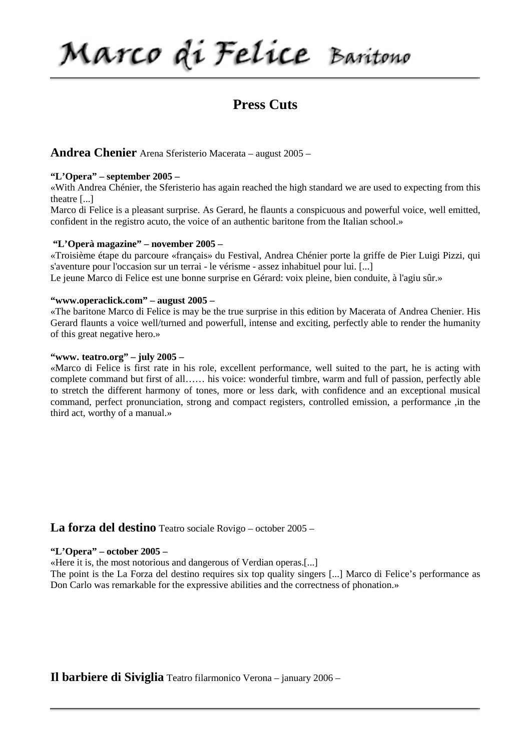Marco di Felice Baritono

# **Press Cuts**

# **Andrea Chenier** Arena Sferisterio Macerata – august 2005 –

### **"L'Opera" – september 2005 –**

«With Andrea Chénier, the Sferisterio has again reached the high standard we are used to expecting from this theatre [...]

Marco di Felice is a pleasant surprise. As Gerard, he flaunts a conspicuous and powerful voice, well emitted, confident in the registro acuto, the voice of an authentic baritone from the Italian school.»

#### **"L'Operà magazine" – november 2005 –**

«Troisième étape du parcoure «français» du Festival, Andrea Chénier porte la griffe de Pier Luigi Pizzi, qui s'aventure pour l'occasion sur un terrai - le vérisme - assez inhabituel pour lui. [...]

Le jeune Marco di Felice est une bonne surprise en Gérard: voix pleine, bien conduite, à l'agiu sûr.»

# **"www.operaclick.com" – august 2005 –**

«The baritone Marco di Felice is may be the true surprise in this edition by Macerata of Andrea Chenier. His Gerard flaunts a voice well/turned and powerfull, intense and exciting, perfectly able to render the humanity of this great negative hero.»

#### **"www. teatro.org" – july 2005 –**

«Marco di Felice is first rate in his role, excellent performance, well suited to the part, he is acting with complete command but first of all…… his voice: wonderful timbre, warm and full of passion, perfectly able to stretch the different harmony of tones, more or less dark, with confidence and an exceptional musical command, perfect pronunciation, strong and compact registers, controlled emission, a performance ,in the third act, worthy of a manual.»

# **La forza del destino** Teatro sociale Rovigo – october 2005 –

### **"L'Opera" – october 2005 –**

«Here it is, the most notorious and dangerous of Verdian operas.[...]

The point is the La Forza del destino requires six top quality singers [...] Marco di Felice's performance as Don Carlo was remarkable for the expressive abilities and the correctness of phonation.»

**Il barbiere di Siviglia** Teatro filarmonico Verona – january 2006 –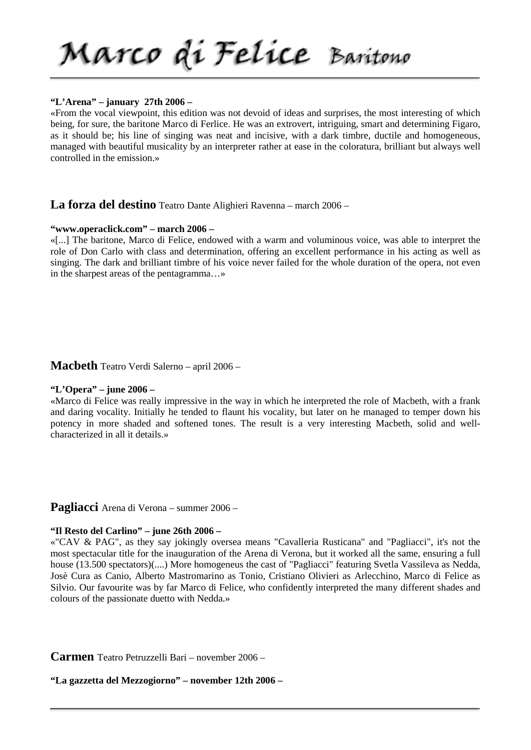# **"L'Arena" – january 27th 2006 –**

«From the vocal viewpoint, this edition was not devoid of ideas and surprises, the most interesting of which being, for sure, the baritone Marco di Ferlice. He was an extrovert, intriguing, smart and determining Figaro, as it should be; his line of singing was neat and incisive, with a dark timbre, ductile and homogeneous, managed with beautiful musicality by an interpreter rather at ease in the coloratura, brilliant but always well controlled in the emission.»

# **La forza del destino** Teatro Dante Alighieri Ravenna – march 2006 –

### **"www.operaclick.com" – march 2006 –**

«[...] The baritone, Marco di Felice, endowed with a warm and voluminous voice, was able to interpret the role of Don Carlo with class and determination, offering an excellent performance in his acting as well as singing. The dark and brilliant timbre of his voice never failed for the whole duration of the opera, not even in the sharpest areas of the pentagramma…»

**Macbeth** Teatro Verdi Salerno – april 2006 –

# **"L'Opera" – june 2006 –**

«Marco di Felice was really impressive in the way in which he interpreted the role of Macbeth, with a frank and daring vocality. Initially he tended to flaunt his vocality, but later on he managed to temper down his potency in more shaded and softened tones. The result is a very interesting Macbeth, solid and wellcharacterized in all it details.»

**Pagliacci** Arena di Verona – summer 2006 –

### **"Il Resto del Carlino" – june 26th 2006 –**

«"CAV & PAG", as they say jokingly oversea means "Cavalleria Rusticana" and "Pagliacci", it's not the most spectacular title for the inauguration of the Arena di Verona, but it worked all the same, ensuring a full house (13.500 spectators)(....) More homogeneus the cast of "Pagliacci" featuring Svetla Vassileva as Nedda, Josè Cura as Canio, Alberto Mastromarino as Tonio, Cristiano Olivieri as Arlecchino, Marco di Felice as Silvio. Our favourite was by far Marco di Felice, who confidently interpreted the many different shades and colours of the passionate duetto with Nedda.»

**Carmen** Teatro Petruzzelli Bari – november 2006 –

# **"La gazzetta del Mezzogiorno" – november 12th 2006 –**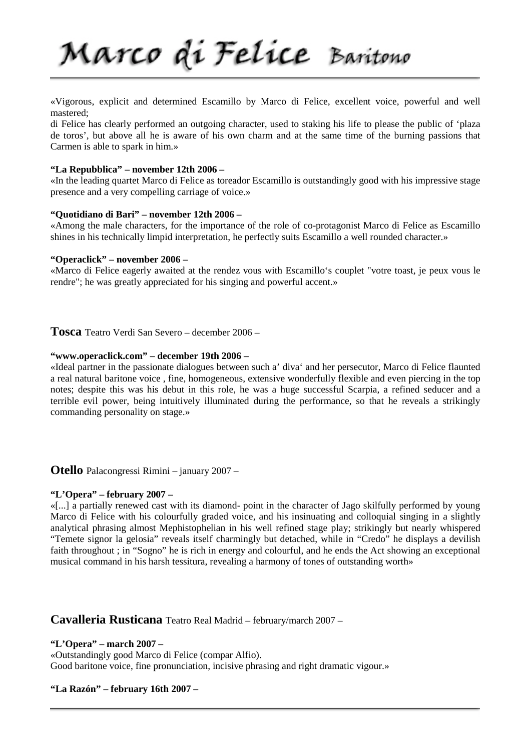«Vigorous, explicit and determined Escamillo by Marco di Felice, excellent voice, powerful and well mastered;

di Felice has clearly performed an outgoing character, used to staking his life to please the public of 'plaza de toros', but above all he is aware of his own charm and at the same time of the burning passions that Carmen is able to spark in him.»

### **"La Repubblica" – november 12th 2006 –**

«In the leading quartet Marco di Felice as toreador Escamillo is outstandingly good with his impressive stage presence and a very compelling carriage of voice.»

### **"Quotidiano di Bari" – november 12th 2006 –**

«Among the male characters, for the importance of the role of co-protagonist Marco di Felice as Escamillo shines in his technically limpid interpretation, he perfectly suits Escamillo a well rounded character.»

# **"Operaclick" – november 2006 –**

«Marco di Felice eagerly awaited at the rendez vous with Escamillo's couplet "votre toast, je peux vous le rendre"; he was greatly appreciated for his singing and powerful accent.»

**Tosca** Teatro Verdi San Severo – december 2006 –

# **"www.operaclick.com" – december 19th 2006 –**

«Ideal partner in the passionate dialogues between such a' diva' and her persecutor, Marco di Felice flaunted a real natural baritone voice , fine, homogeneous, extensive wonderfully flexible and even piercing in the top notes; despite this was his debut in this role, he was a huge successful Scarpia, a refined seducer and a terrible evil power, being intuitively illuminated during the performance, so that he reveals a strikingly commanding personality on stage.»

**Otello** Palacongressi Rimini – january 2007 –

# **"L'Opera" – february 2007 –**

«[...] a partially renewed cast with its diamond- point in the character of Jago skilfully performed by young Marco di Felice with his colourfully graded voice, and his insinuating and colloquial singing in a slightly analytical phrasing almost Mephistophelian in his well refined stage play; strikingly but nearly whispered "Temete signor la gelosia" reveals itself charmingly but detached, while in "Credo" he displays a devilish faith throughout ; in "Sogno" he is rich in energy and colourful, and he ends the Act showing an exceptional musical command in his harsh tessitura, revealing a harmony of tones of outstanding worth»

# **Cavalleria Rusticana** Teatro Real Madrid – february/march 2007 –

### **"L'Opera" – march 2007 –**

«Outstandingly good Marco di Felice (compar Alfio). Good baritone voice, fine pronunciation, incisive phrasing and right dramatic vigour.»

# **"La Razón" – february 16th 2007 –**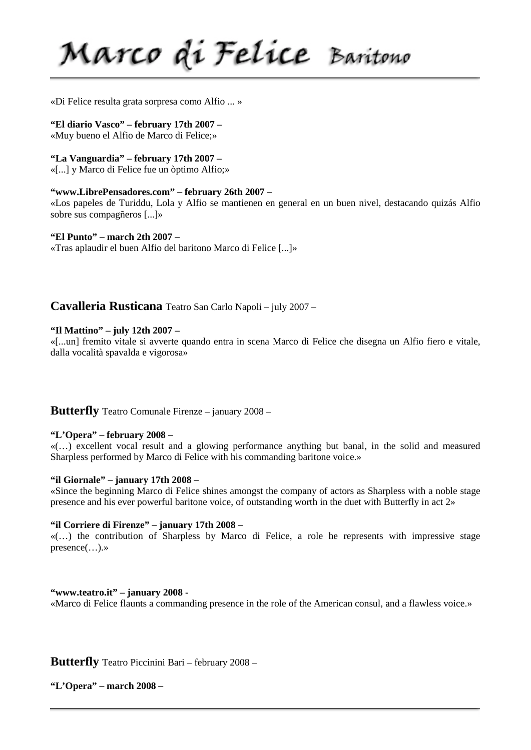Marco di Felice Baritono

«Di Felice resulta grata sorpresa como Alfio ... »

# **"El diario Vasco" – february 17th 2007 –**

«Muy bueno el Alfio de Marco di Felice;»

**"La Vanguardia" – february 17th 2007 –**

«[...] y Marco di Felice fue un òptimo Alfio;»

# **"www.LibrePensadores.com" – february 26th 2007 –**

«Los papeles de Turiddu, Lola y Alfio se mantienen en general en un buen nivel, destacando quizás Alfio sobre sus compagñeros [...]»

**"El Punto" – march 2th 2007 –**

«Tras aplaudir el buen Alfio del baritono Marco di Felice [...]»

**Cavalleria Rusticana** Teatro San Carlo Napoli – july 2007 –

# **"Il Mattino" – july 12th 2007 –**

«[...un] fremito vitale si avverte quando entra in scena Marco di Felice che disegna un Alfio fiero e vitale, dalla vocalità spavalda e vigorosa»

**Butterfly** Teatro Comunale Firenze – january 2008 –

# **"L'Opera" – february 2008 –**

«(…) excellent vocal result and a glowing performance anything but banal, in the solid and measured Sharpless performed by Marco di Felice with his commanding baritone voice.»

# **"il Giornale" – january 17th 2008 –**

«Since the beginning Marco di Felice shines amongst the company of actors as Sharpless with a noble stage presence and his ever powerful baritone voice, of outstanding worth in the duet with Butterfly in act 2»

### **"il Corriere di Firenze" – january 17th 2008 –**

«(…) the contribution of Sharpless by Marco di Felice, a role he represents with impressive stage presence(…).»

# **"www.teatro.it" – january 2008 -**

«Marco di Felice flaunts a commanding presence in the role of the American consul, and a flawless voice.»

**Butterfly** Teatro Piccinini Bari – february 2008 –

**"L'Opera" – march 2008 –**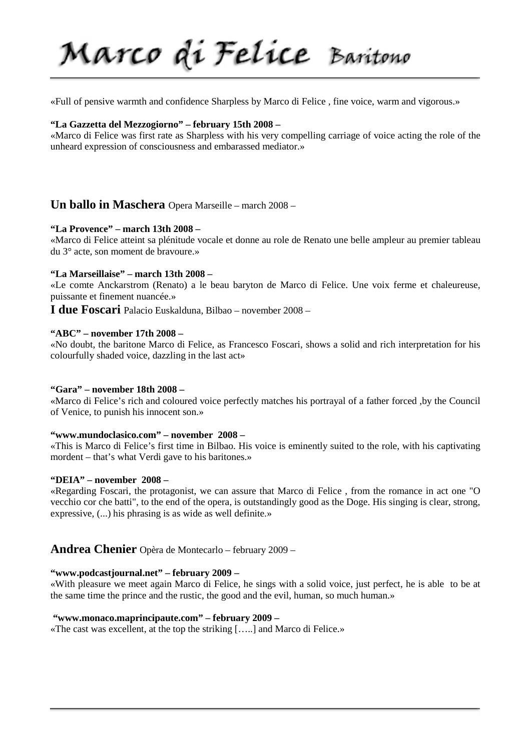«Full of pensive warmth and confidence Sharpless by Marco di Felice , fine voice, warm and vigorous.»

### **"La Gazzetta del Mezzogiorno" – february 15th 2008 –**

«Marco di Felice was first rate as Sharpless with his very compelling carriage of voice acting the role of the unheard expression of consciousness and embarassed mediator.»

# **Un ballo in Maschera** Opera Marseille – march 2008 –

# **"La Provence" – march 13th 2008 –**

«Marco di Felice atteint sa plénitude vocale et donne au role de Renato une belle ampleur au premier tableau du 3° acte, son moment de bravoure.»

### **"La Marseillaise" – march 13th 2008 –**

«Le comte Anckarstrom (Renato) a le beau baryton de Marco di Felice. Une voix ferme et chaleureuse, puissante et finement nuancée.»

**I due Foscari** Palacio Euskalduna, Bilbao – november 2008 –

# **"ABC" – november 17th 2008 –**

«No doubt, the baritone Marco di Felice, as Francesco Foscari, shows a solid and rich interpretation for his colourfully shaded voice, dazzling in the last act»

# **"Gara" – november 18th 2008 –**

«Marco di Felice's rich and coloured voice perfectly matches his portrayal of a father forced ,by the Council of Venice, to punish his innocent son.»

### **"www.mundoclasico.com" – november 2008 –**

«This is Marco di Felice's first time in Bilbao. His voice is eminently suited to the role, with his captivating mordent – that's what Verdi gave to his baritones.»

### **"DEIA" – november 2008 –**

«Regarding Foscari, the protagonist, we can assure that Marco di Felice , from the romance in act one "O vecchio cor che batti", to the end of the opera, is outstandingly good as the Doge. His singing is clear, strong, expressive, (...) his phrasing is as wide as well definite.»

# **Andrea Chenier** Opèra de Montecarlo – february 2009 –

# **"www.podcastjournal.net" – february 2009 –**

«With pleasure we meet again Marco di Felice, he sings with a solid voice, just perfect, he is able to be at the same time the prince and the rustic, the good and the evil, human, so much human.»

### **"www.monaco.maprincipaute.com" – february 2009 –**

«The cast was excellent, at the top the striking […..] and Marco di Felice.»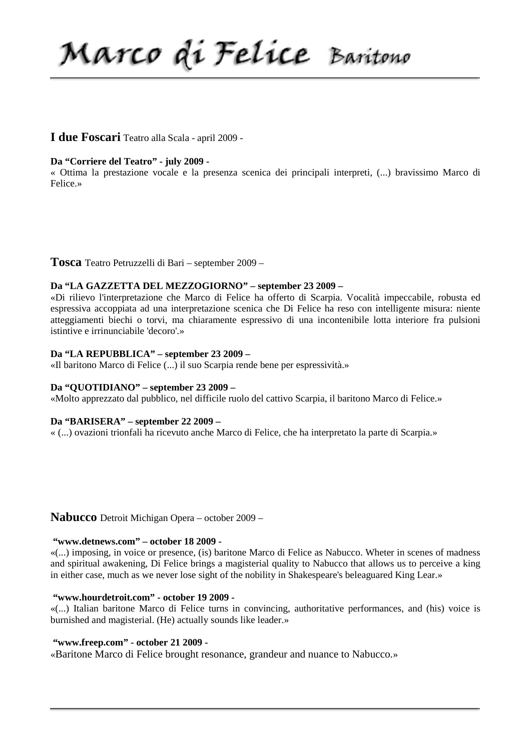Marco di Felice Baritono

# **I due Foscari** Teatro alla Scala - april 2009 -

# **Da "Corriere del Teatro" - july 2009 -**

« Ottima la prestazione vocale e la presenza scenica dei principali interpreti, (...) bravissimo Marco di Felice.»

### **Tosca** Teatro Petruzzelli di Bari – september 2009 –

### **Da "LA GAZZETTA DEL MEZZOGIORNO" – september 23 2009 –**

«Di rilievo l'interpretazione che Marco di Felice ha offerto di Scarpia. Vocalità impeccabile, robusta ed espressiva accoppiata ad una interpretazione scenica che Di Felice ha reso con intelligente misura: niente atteggiamenti biechi o torvi, ma chiaramente espressivo di una incontenibile lotta interiore fra pulsioni istintive e irrinunciabile 'decoro'.»

### **Da "LA REPUBBLICA" – september 23 2009 –**

«Il baritono Marco di Felice (...) il suo Scarpia rende bene per espressività.»

## **Da "QUOTIDIANO" – september 23 2009 –**

«Molto apprezzato dal pubblico, nel difficile ruolo del cattivo Scarpia, il baritono Marco di Felice.»

### **Da "BARISERA" – september 22 2009 –**

« (...) ovazioni trionfali ha ricevuto anche Marco di Felice, che ha interpretato la parte di Scarpia.»

# **Nabucco** Detroit Michigan Opera – october 2009 –

#### **"www.detnews.com" – october 18 2009 -**

«(...) imposing, in voice or presence, (is) baritone Marco di Felice as Nabucco. Wheter in scenes of madness and spiritual awakening, Di Felice brings a magisterial quality to Nabucco that allows us to perceive a king in either case, much as we never lose sight of the nobility in Shakespeare's beleaguared King Lear.»

#### **"www.hourdetroit.com" - october 19 2009 -**

«(...) Italian baritone Marco di Felice turns in convincing, authoritative performances, and (his) voice is burnished and magisterial. (He) actually sounds like leader.»

### **"www.freep.com" - october 21 2009 -**

«Baritone Marco di Felice brought resonance, grandeur and nuance to Nabucco.»